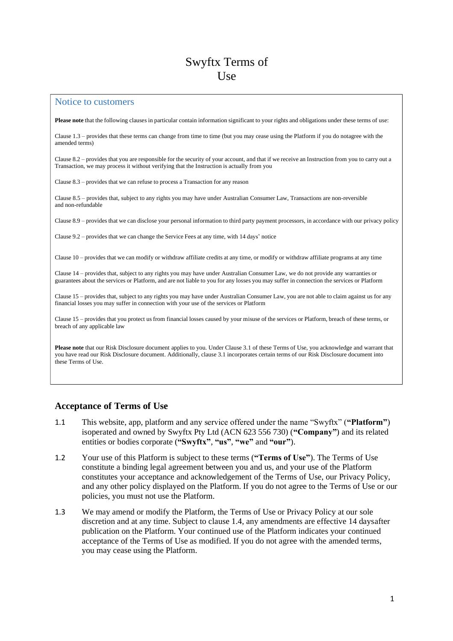# Swyftx Terms of Use

#### Notice to customers

**Please note** that the following clauses in particular contain information significant to your rights and obligations under these terms of use:

Clause 1.3 – provides that these terms can change from time to time (but you may cease using the Platform if you do notagree with the amended terms)

Clause 8.2 – provides that you are responsible for the security of your account, and that if we receive an Instruction from you to carry out a Transaction, we may process it without verifying that the Instruction is actually from you

Clause 8.3 – provides that we can refuse to process a Transaction for any reason

Clause 8.5 – provides that, subject to any rights you may have under Australian Consumer Law, Transactions are non-reversible and non-refundable

Clause 8.9 – provides that we can disclose your personal information to third party payment processors, in accordance with our privacy policy

Clause 9.2 – provides that we can change the Service Fees at any time, with 14 days' notice

Clause 10 – provides that we can modify or withdraw affiliate credits at any time, or modify or withdraw affiliate programs at any time

Clause 14 – provides that, subject to any rights you may have under Australian Consumer Law, we do not provide any warranties or guarantees about the services or Platform, and are not liable to you for any losses you may suffer in connection the services or Platform

Clause 15 – provides that, subject to any rights you may have under Australian Consumer Law, you are not able to claim against us for any financial losses you may suffer in connection with your use of the services or Platform

Clause 15 – provides that you protect us from financial losses caused by your misuse of the services or Platform, breach of these terms, or breach of any applicable law

**Please note** that our Risk Disclosure document applies to you. Under Clause 3.1 of these Terms of Use, you acknowledge and warrant that you have read our Risk Disclosure document. Additionally, clause 3.1 incorporates certain terms of our Risk Disclosure document into these Terms of Use.

#### **Acceptance of Terms of Use**

- 1.1 This website, app, platform and any service offered under the name "Swyftx" (**"Platform"**) isoperated and owned by Swyftx Pty Ltd (ACN 623 556 730) (**"Company"**) and its related entities or bodies corporate (**"Swyftx"**, **"us"**, **"we"** and **"our"**).
- 1.2 Your use of this Platform is subject to these terms (**"Terms of Use"**). The Terms of Use constitute a binding legal agreement between you and us, and your use of the Platform constitutes your acceptance and acknowledgement of the Terms of Use, our Privacy Policy, and any other policy displayed on the Platform. If you do not agree to the Terms of Use or our policies, you must not use the Platform.
- 1.3 We may amend or modify the Platform, the Terms of Use or Privacy Policy at our sole discretion and at any time. Subject to clause [1.4,](#page-1-0) any amendments are effective 14 daysafter publication on the Platform. Your continued use of the Platform indicates your continued acceptance of the Terms of Use as modified. If you do not agree with the amended terms, you may cease using the Platform.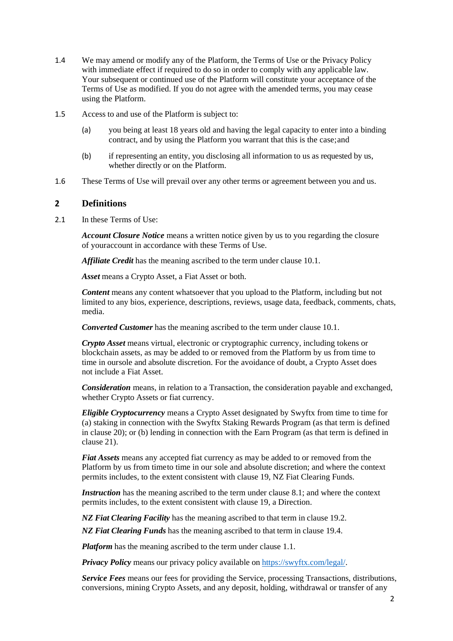- <span id="page-1-0"></span>1.4 We may amend or modify any of the Platform, the Terms of Use or the Privacy Policy with immediate effect if required to do so in order to comply with any applicable law. Your subsequent or continued use of the Platform will constitute your acceptance of the Terms of Use as modified. If you do not agree with the amended terms, you may cease using the Platform.
- 1.5 Access to and use of the Platform is subject to:
	- (a) you being at least 18 years old and having the legal capacity to enter into a binding contract, and by using the Platform you warrant that this is the case;and
	- (b) if representing an entity, you disclosing all information to us as requested by us, whether directly or on the Platform.
- 1.6 These Terms of Use will prevail over any other terms or agreement between you and us.

# **2 Definitions**

2.1 In these Terms of Use:

*Account Closure Notice* means a written notice given by us to you regarding the closure of youraccount in accordance with these Terms of Use.

*Affiliate Credit* has the meaning ascribed to the term under clause 10.1.

*Asset* means a Crypto Asset, a Fiat Asset or both.

*Content* means any content whatsoever that you upload to the Platform, including but not limited to any bios, experience, descriptions, reviews, usage data, feedback, comments, chats, media.

*Converted Customer* has the meaning ascribed to the term under clause 10.1.

*Crypto Asset* means virtual, electronic or cryptographic currency, including tokens or blockchain assets, as may be added to or removed from the Platform by us from time to time in oursole and absolute discretion. For the avoidance of doubt, a Crypto Asset does not include a Fiat Asset.

*Consideration* means, in relation to a Transaction, the consideration payable and exchanged, whether Crypto Assets or fiat currency.

*Eligible Cryptocurrency* means a Crypto Asset designated by Swyftx from time to time for (a) staking in connection with the Swyftx Staking Rewards Program (as that term is defined in clause [20\)](#page-13-0); or (b) lending in connection with the Earn Program (as that term is defined in claus[e 21\)](#page-13-1).

*Fiat Assets* means any accepted fiat currency as may be added to or removed from the Platform by us from timeto time in our sole and absolute discretion; and where the context permits includes, to the extent consistent with clause 19, NZ Fiat Clearing Funds.

*Instruction* has the meaning ascribed to the term under clause 8.1; and where the context permits includes, to the extent consistent with clause 19, a Direction.

*NZ Fiat Clearing Facility* has the meaning ascribed to that term in clause 19.2.

*NZ Fiat Clearing Funds* has the meaning ascribed to that term in clause 19.4.

*Platform* has the meaning ascribed to the term under clause 1.1.

*Privacy Policy* means our privacy policy available on https://swyftx.com/legal/.

*Service Fees* means our fees for providing the Service, processing Transactions, distributions, conversions, mining Crypto Assets, and any deposit, holding, withdrawal or transfer of any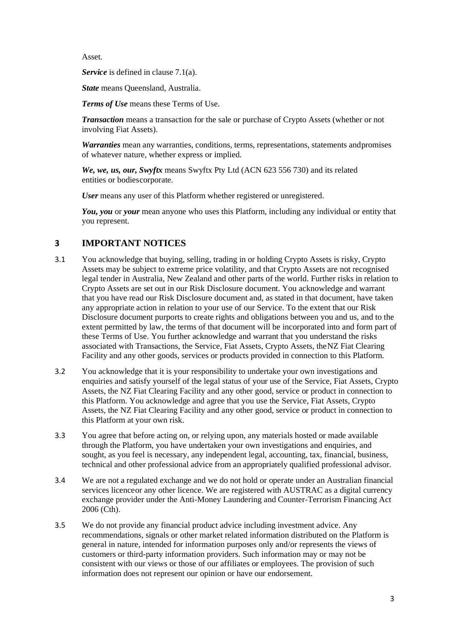Asset.

*Service* is defined in clause 7.1(a).

*State* means Queensland, Australia.

*Terms of Use* means these Terms of Use.

*Transaction* means a transaction for the sale or purchase of Crypto Assets (whether or not involving Fiat Assets).

*Warranties* mean any warranties, conditions, terms, representations, statements andpromises of whatever nature, whether express or implied.

*We, we, us, our, Swyftx* means Swyftx Pty Ltd (ACN 623 556 730) and its related entities or bodiescorporate.

*User* means any user of this Platform whether registered or unregistered.

You, you or your mean anyone who uses this Platform, including any individual or entity that you represent.

### **3 IMPORTANT NOTICES**

- 3.1 You acknowledge that buying, selling, trading in or holding Crypto Assets is risky, Crypto Assets may be subject to extreme price volatility, and that Crypto Assets are not recognised legal tender in Australia, New Zealand and other parts of the world. Further risks in relation to Crypto Assets are set out in our Risk Disclosure document. You acknowledge and warrant that you have read our Risk Disclosure document and, as stated in that document, have taken any appropriate action in relation to your use of our Service. To the extent that our Risk Disclosure document purports to create rights and obligations between you and us, and to the extent permitted by law, the terms of that document will be incorporated into and form part of these Terms of Use. You further acknowledge and warrant that you understand the risks associated with Transactions, the Service, Fiat Assets, Crypto Assets, theNZ Fiat Clearing Facility and any other goods, services or products provided in connection to this Platform.
- 3.2 You acknowledge that it is your responsibility to undertake your own investigations and enquiries and satisfy yourself of the legal status of your use of the Service, Fiat Assets, Crypto Assets, the NZ Fiat Clearing Facility and any other good, service or product in connection to this Platform. You acknowledge and agree that you use the Service, Fiat Assets, Crypto Assets, the NZ Fiat Clearing Facility and any other good, service or product in connection to this Platform at your own risk.
- 3.3 You agree that before acting on, or relying upon, any materials hosted or made available through the Platform, you have undertaken your own investigations and enquiries, and sought, as you feel is necessary, any independent legal, accounting, tax, financial, business, technical and other professional advice from an appropriately qualified professional advisor.
- 3.4 We are not a regulated exchange and we do not hold or operate under an Australian financial services licenceor any other licence. We are registered with AUSTRAC as a digital currency exchange provider under the Anti-Money Laundering and Counter-Terrorism Financing Act 2006 (Cth).
- 3.5 We do not provide any financial product advice including investment advice. Any recommendations, signals or other market related information distributed on the Platform is general in nature, intended for information purposes only and/or represents the views of customers or third-party information providers. Such information may or may not be consistent with our views or those of our affiliates or employees. The provision of such information does not represent our opinion or have our endorsement.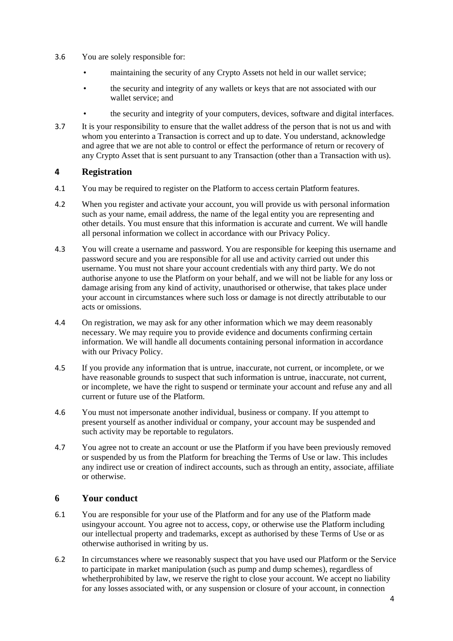- 3.6 You are solely responsible for:
	- maintaining the security of any Crypto Assets not held in our wallet service;
	- the security and integrity of any wallets or keys that are not associated with our wallet service; and
	- the security and integrity of your computers, devices, software and digital interfaces.
- 3.7 It is your responsibility to ensure that the wallet address of the person that is not us and with whom you enterinto a Transaction is correct and up to date. You understand, acknowledge and agree that we are not able to control or effect the performance of return or recovery of any Crypto Asset that is sent pursuant to any Transaction (other than a Transaction with us).

# **4 Registration**

- 4.1 You may be required to register on the Platform to access certain Platform features.
- 4.2 When you register and activate your account, you will provide us with personal information such as your name, email address, the name of the legal entity you are representing and other details. You must ensure that this information is accurate and current. We will handle all personal information we collect in accordance with our Privacy Policy.
- 4.3 You will create a username and password. You are responsible for keeping this username and password secure and you are responsible for all use and activity carried out under this username. You must not share your account credentials with any third party. We do not authorise anyone to use the Platform on your behalf, and we will not be liable for any loss or damage arising from any kind of activity, unauthorised or otherwise, that takes place under your account in circumstances where such loss or damage is not directly attributable to our acts or omissions.
- 4.4 On registration, we may ask for any other information which we may deem reasonably necessary. We may require you to provide evidence and documents confirming certain information. We will handle all documents containing personal information in accordance with our Privacy Policy.
- 4.5 If you provide any information that is untrue, inaccurate, not current, or incomplete, or we have reasonable grounds to suspect that such information is untrue, inaccurate, not current, or incomplete, we have the right to suspend or terminate your account and refuse any and all current or future use of the Platform.
- 4.6 You must not impersonate another individual, business or company. If you attempt to present yourself as another individual or company, your account may be suspended and such activity may be reportable to regulators.
- 4.7 You agree not to create an account or use the Platform if you have been previously removed or suspended by us from the Platform for breaching the Terms of Use or law. This includes any indirect use or creation of indirect accounts, such as through an entity, associate, affiliate or otherwise.

# **6 Your conduct**

- 6.1 You are responsible for your use of the Platform and for any use of the Platform made usingyour account. You agree not to access, copy, or otherwise use the Platform including our intellectual property and trademarks, except as authorised by these Terms of Use or as otherwise authorised in writing by us.
- 6.2 In circumstances where we reasonably suspect that you have used our Platform or the Service to participate in market manipulation (such as pump and dump schemes), regardless of whetherprohibited by law, we reserve the right to close your account. We accept no liability for any losses associated with, or any suspension or closure of your account, in connection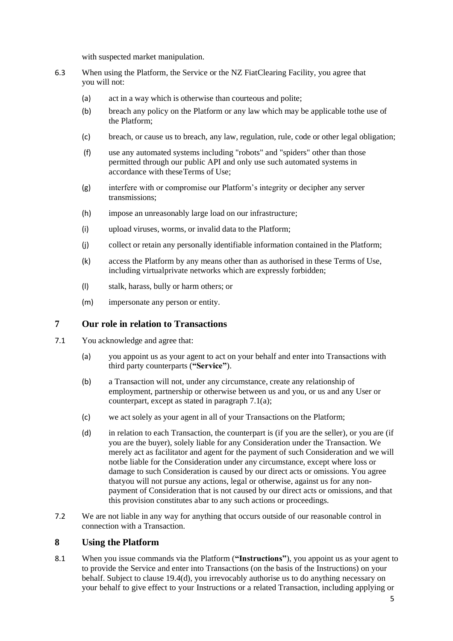with suspected market manipulation.

- 6.3 When using the Platform, the Service or the NZ FiatClearing Facility, you agree that you will not:
	- (a) act in a way which is otherwise than courteous and polite;
	- (b) breach any policy on the Platform or any law which may be applicable tothe use of the Platform;
	- (c) breach, or cause us to breach, any law, regulation, rule, code or other legal obligation;
	- (f) use any automated systems including "robots" and "spiders" other than those permitted through our public API and only use such automated systems in accordance with theseTerms of Use;
	- (g) interfere with or compromise our Platform's integrity or decipher any server transmissions;
	- (h) impose an unreasonably large load on our infrastructure;
	- (i) upload viruses, worms, or invalid data to the Platform;
	- (j) collect or retain any personally identifiable information contained in the Platform;
	- (k) access the Platform by any means other than as authorised in these Terms of Use, including virtualprivate networks which are expressly forbidden;
	- (l) stalk, harass, bully or harm others; or
	- (m) impersonate any person or entity.

#### **7 Our role in relation to Transactions**

- 7.1 You acknowledge and agree that:
	- (a) you appoint us as your agent to act on your behalf and enter into Transactions with third party counterparts (**"Service"**).
	- (b) a Transaction will not, under any circumstance, create any relationship of employment, partnership or otherwise between us and you, or us and any User or counterpart, except as stated in paragraph 7.1(a);
	- (c) we act solely as your agent in all of your Transactions on the Platform;
	- (d) in relation to each Transaction, the counterpart is (if you are the seller), or you are (if you are the buyer), solely liable for any Consideration under the Transaction. We merely act as facilitator and agent for the payment of such Consideration and we will notbe liable for the Consideration under any circumstance, except where loss or damage to such Consideration is caused by our direct acts or omissions. You agree thatyou will not pursue any actions, legal or otherwise, against us for any nonpayment of Consideration that is not caused by our direct acts or omissions, and that this provision constitutes abar to any such actions or proceedings.
- 7.2 We are not liable in any way for anything that occurs outside of our reasonable control in connection with a Transaction.

#### **8 Using the Platform**

8.1 When you issue commands via the Platform (**"Instructions"**), you appoint us as your agent to to provide the Service and enter into Transactions (on the basis of the Instructions) on your behalf. Subject to clause 19.4(d), you irrevocably authorise us to do anything necessary on your behalf to give effect to your Instructions or a related Transaction, including applying or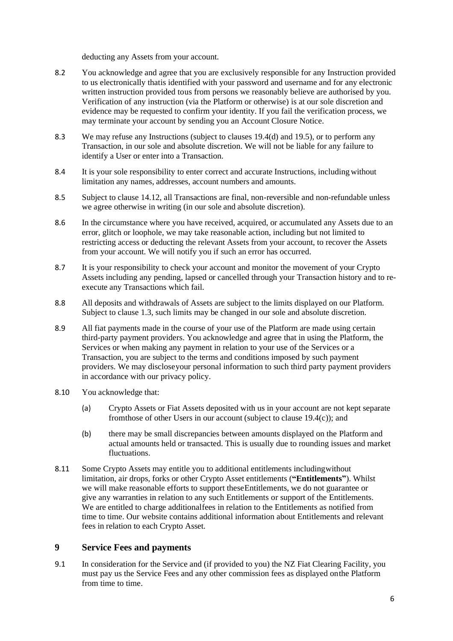deducting any Assets from your account.

- 8.2 You acknowledge and agree that you are exclusively responsible for any Instruction provided to us electronically thatis identified with your password and username and for any electronic written instruction provided tous from persons we reasonably believe are authorised by you. Verification of any instruction (via the Platform or otherwise) is at our sole discretion and evidence may be requested to confirm your identity. If you fail the verification process, we may terminate your account by sending you an Account Closure Notice.
- 8.3 We may refuse any Instructions (subject to clauses 19.4(d) and 19.5), or to perform any Transaction, in our sole and absolute discretion. We will not be liable for any failure to identify a User or enter into a Transaction.
- 8.4 It is your sole responsibility to enter correct and accurate Instructions, including without limitation any names, addresses, account numbers and amounts.
- 8.5 Subject to clause 14.12, all Transactions are final, non-reversible and non-refundable unless we agree otherwise in writing (in our sole and absolute discretion).
- 8.6 In the circumstance where you have received, acquired, or accumulated any Assets due to an error, glitch or loophole, we may take reasonable action, including but not limited to restricting access or deducting the relevant Assets from your account, to recover the Assets from your account. We will notify you if such an error has occurred.
- 8.7 It is your responsibility to check your account and monitor the movement of your Crypto Assets including any pending, lapsed or cancelled through your Transaction history and to reexecute any Transactions which fail.
- 8.8 All deposits and withdrawals of Assets are subject to the limits displayed on our Platform. Subject to clause 1.3, such limits may be changed in our sole and absolute discretion.
- 8.9 All fiat payments made in the course of your use of the Platform are made using certain third-party payment providers. You acknowledge and agree that in using the Platform, the Services or when making any payment in relation to your use of the Services or a Transaction, you are subject to the terms and conditions imposed by such payment providers. We may discloseyour personal information to such third party payment providers in accordance with our privacy policy.
- 8.10 You acknowledge that:
	- (a) Crypto Assets or Fiat Assets deposited with us in your account are not kept separate fromthose of other Users in our account (subject to clause 19.4(c)); and
	- (b) there may be small discrepancies between amounts displayed on the Platform and actual amounts held or transacted. This is usually due to rounding issues and market fluctuations.
- 8.11 Some Crypto Assets may entitle you to additional entitlements includingwithout limitation, air drops, forks or other Crypto Asset entitlements (**"Entitlements"**). Whilst we will make reasonable efforts to support theseEntitlements, we do not guarantee or give any warranties in relation to any such Entitlements or support of the Entitlements. We are entitled to charge additionalfees in relation to the Entitlements as notified from time to time. Our website contains additional information about Entitlements and relevant fees in relation to each Crypto Asset.

### **9 Service Fees and payments**

9.1 In consideration for the Service and (if provided to you) the NZ Fiat Clearing Facility, you must pay us the Service Fees and any other commission fees as displayed onthe Platform from time to time.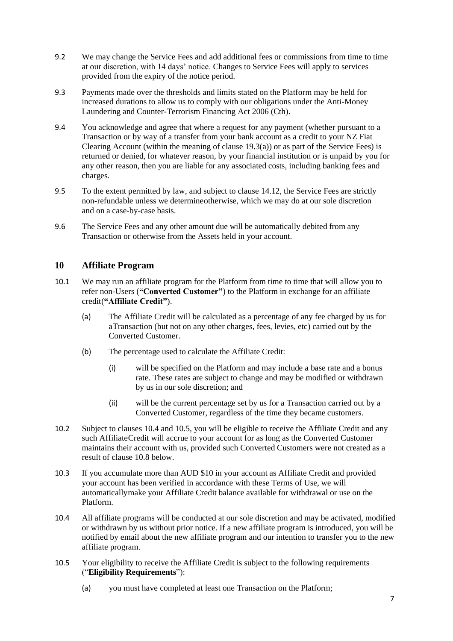- 9.2 We may change the Service Fees and add additional fees or commissions from time to time at our discretion, with 14 days' notice. Changes to Service Fees will apply to services provided from the expiry of the notice period.
- 9.3 Payments made over the thresholds and limits stated on the Platform may be held for increased durations to allow us to comply with our obligations under the Anti-Money Laundering and Counter-Terrorism Financing Act 2006 (Cth).
- 9.4 You acknowledge and agree that where a request for any payment (whether pursuant to a Transaction or by way of a transfer from your bank account as a credit to your NZ Fiat Clearing Account (within the meaning of clause  $19.3(a)$ ) or as part of the Service Fees) is returned or denied, for whatever reason, by your financial institution or is unpaid by you for any other reason, then you are liable for any associated costs, including banking fees and charges.
- 9.5 To the extent permitted by law, and subject to clause 14.12, the Service Fees are strictly non-refundable unless we determineotherwise, which we may do at our sole discretion and on a case-by-case basis.
- 9.6 The Service Fees and any other amount due will be automatically debited from any Transaction or otherwise from the Assets held in your account.

### **10 Affiliate Program**

- 10.1 We may run an affiliate program for the Platform from time to time that will allow you to refer non-Users (**"Converted Customer"**) to the Platform in exchange for an affiliate credit(**"Affiliate Credit"**).
	- (a) The Affiliate Credit will be calculated as a percentage of any fee charged by us for aTransaction (but not on any other charges, fees, levies, etc) carried out by the Converted Customer.
	- (b) The percentage used to calculate the Affiliate Credit:
		- (i) will be specified on the Platform and may include a base rate and a bonus rate. These rates are subject to change and may be modified or withdrawn by us in our sole discretion; and
		- (ii) will be the current percentage set by us for a Transaction carried out by a Converted Customer, regardless of the time they became customers.
- 10.2 Subject to clauses 10.4 and 10.5, you will be eligible to receive the Affiliate Credit and any such AffiliateCredit will accrue to your account for as long as the Converted Customer maintains their account with us, provided such Converted Customers were not created as a result of clause 10.8 below.
- 10.3 If you accumulate more than AUD \$10 in your account as Affiliate Credit and provided your account has been verified in accordance with these Terms of Use, we will automaticallymake your Affiliate Credit balance available for withdrawal or use on the Platform.
- 10.4 All affiliate programs will be conducted at our sole discretion and may be activated, modified or withdrawn by us without prior notice. If a new affiliate program is introduced, you will be notified by email about the new affiliate program and our intention to transfer you to the new affiliate program.
- 10.5 Your eligibility to receive the Affiliate Credit is subject to the following requirements ("**Eligibility Requirements**"):
	- (a) you must have completed at least one Transaction on the Platform;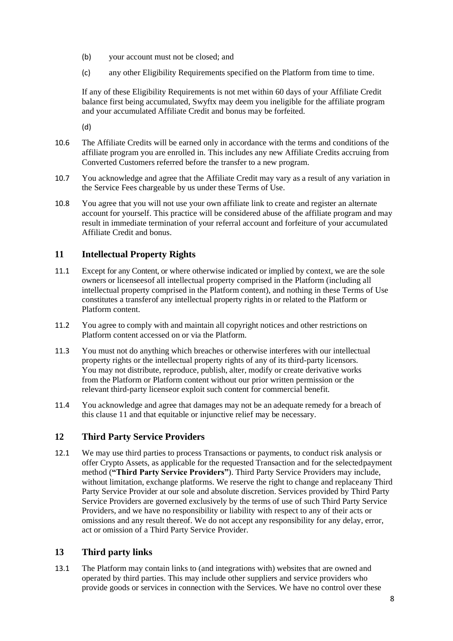- (b) your account must not be closed; and
- (c) any other Eligibility Requirements specified on the Platform from time to time.

If any of these Eligibility Requirements is not met within 60 days of your Affiliate Credit balance first being accumulated, Swyftx may deem you ineligible for the affiliate program and your accumulated Affiliate Credit and bonus may be forfeited.

(d)

- 10.6 The Affiliate Credits will be earned only in accordance with the terms and conditions of the affiliate program you are enrolled in. This includes any new Affiliate Credits accruing from Converted Customers referred before the transfer to a new program.
- 10.7 You acknowledge and agree that the Affiliate Credit may vary as a result of any variation in the Service Fees chargeable by us under these Terms of Use.
- 10.8 You agree that you will not use your own affiliate link to create and register an alternate account for yourself. This practice will be considered abuse of the affiliate program and may result in immediate termination of your referral account and forfeiture of your accumulated Affiliate Credit and bonus.

### **11 Intellectual Property Rights**

- 11.1 Except for any Content, or where otherwise indicated or implied by context, we are the sole owners or licenseesof all intellectual property comprised in the Platform (including all intellectual property comprised in the Platform content), and nothing in these Terms of Use constitutes a transferof any intellectual property rights in or related to the Platform or Platform content.
- 11.2 You agree to comply with and maintain all copyright notices and other restrictions on Platform content accessed on or via the Platform.
- 11.3 You must not do anything which breaches or otherwise interferes with our intellectual property rights or the intellectual property rights of any of its third-party licensors. You may not distribute, reproduce, publish, alter, modify or create derivative works from the Platform or Platform content without our prior written permission or the relevant third-party licenseor exploit such content for commercial benefit.
- 11.4 You acknowledge and agree that damages may not be an adequate remedy for a breach of this clause 11 and that equitable or injunctive relief may be necessary.

# **12 Third Party Service Providers**

12.1 We may use third parties to process Transactions or payments, to conduct risk analysis or offer Crypto Assets, as applicable for the requested Transaction and for the selectedpayment method (**"Third Party Service Providers"**). Third Party Service Providers may include, without limitation, exchange platforms. We reserve the right to change and replaceany Third Party Service Provider at our sole and absolute discretion. Services provided by Third Party Service Providers are governed exclusively by the terms of use of such Third Party Service Providers, and we have no responsibility or liability with respect to any of their acts or omissions and any result thereof. We do not accept any responsibility for any delay, error, act or omission of a Third Party Service Provider.

# **13 Third party links**

13.1 The Platform may contain links to (and integrations with) websites that are owned and operated by third parties. This may include other suppliers and service providers who provide goods or services in connection with the Services. We have no control over these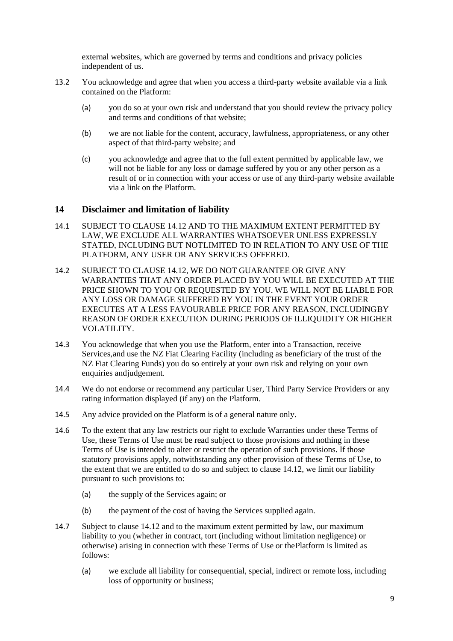external websites, which are governed by terms and conditions and privacy policies independent of us.

- 13.2 You acknowledge and agree that when you access a third-party website available via a link contained on the Platform:
	- (a) you do so at your own risk and understand that you should review the privacy policy and terms and conditions of that website;
	- (b) we are not liable for the content, accuracy, lawfulness, appropriateness, or any other aspect of that third-party website; and
	- (c) you acknowledge and agree that to the full extent permitted by applicable law, we will not be liable for any loss or damage suffered by you or any other person as a result of or in connection with your access or use of any third-party website available via a link on the Platform.

#### **14 Disclaimer and limitation of liability**

- 14.1 SUBJECT TO CLAUSE 14.12 AND TO THE MAXIMUM EXTENT PERMITTED BY LAW, WE EXCLUDE ALL WARRANTIES WHATSOEVER UNLESS EXPRESSLY STATED, INCLUDING BUT NOTLIMITED TO IN RELATION TO ANY USE OF THE PLATFORM, ANY USER OR ANY SERVICES OFFERED.
- 14.2 SUBJECT TO CLAUSE 14.12, WE DO NOT GUARANTEE OR GIVE ANY WARRANTIES THAT ANY ORDER PLACED BY YOU WILL BE EXECUTED AT THE PRICE SHOWN TO YOU OR REQUESTED BY YOU. WE WILL NOT BE LIABLE FOR ANY LOSS OR DAMAGE SUFFERED BY YOU IN THE EVENT YOUR ORDER EXECUTES AT A LESS FAVOURABLE PRICE FOR ANY REASON, INCLUDINGBY REASON OF ORDER EXECUTION DURING PERIODS OF ILLIQUIDITY OR HIGHER VOLATILITY.
- 14.3 You acknowledge that when you use the Platform, enter into a Transaction, receive Services,and use the NZ Fiat Clearing Facility (including as beneficiary of the trust of the NZ Fiat Clearing Funds) you do so entirely at your own risk and relying on your own enquiries andjudgement.
- 14.4 We do not endorse or recommend any particular User, Third Party Service Providers or any rating information displayed (if any) on the Platform.
- 14.5 Any advice provided on the Platform is of a general nature only.
- 14.6 To the extent that any law restricts our right to exclude Warranties under these Terms of Use, these Terms of Use must be read subject to those provisions and nothing in these Terms of Use is intended to alter or restrict the operation of such provisions. If those statutory provisions apply, notwithstanding any other provision of these Terms of Use, to the extent that we are entitled to do so and subject to clause 14.12, we limit our liability pursuant to such provisions to:
	- (a) the supply of the Services again; or
	- (b) the payment of the cost of having the Services supplied again.
- 14.7 Subject to clause 14.12 and to the maximum extent permitted by law, our maximum liability to you (whether in contract, tort (including without limitation negligence) or otherwise) arising in connection with these Terms of Use or thePlatform is limited as follows:
	- (a) we exclude all liability for consequential, special, indirect or remote loss, including loss of opportunity or business;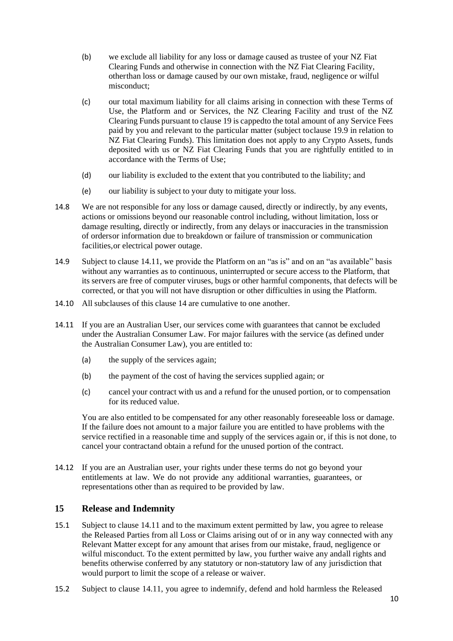- (b) we exclude all liability for any loss or damage caused as trustee of your NZ Fiat Clearing Funds and otherwise in connection with the NZ Fiat Clearing Facility, otherthan loss or damage caused by our own mistake, fraud, negligence or wilful misconduct;
- (c) our total maximum liability for all claims arising in connection with these Terms of Use, the Platform and or Services, the NZ Clearing Facility and trust of the NZ Clearing Funds pursuant to clause 19 is cappedto the total amount of any Service Fees paid by you and relevant to the particular matter (subject toclause 19.9 in relation to NZ Fiat Clearing Funds). This limitation does not apply to any Crypto Assets, funds deposited with us or NZ Fiat Clearing Funds that you are rightfully entitled to in accordance with the Terms of Use;
- (d) our liability is excluded to the extent that you contributed to the liability; and
- (e) our liability is subject to your duty to mitigate your loss.
- 14.8 We are not responsible for any loss or damage caused, directly or indirectly, by any events, actions or omissions beyond our reasonable control including, without limitation, loss or damage resulting, directly or indirectly, from any delays or inaccuracies in the transmission of ordersor information due to breakdown or failure of transmission or communication facilities,or electrical power outage.
- 14.9 Subject to clause 14.11, we provide the Platform on an "as is" and on an "as available" basis without any warranties as to continuous, uninterrupted or secure access to the Platform, that its servers are free of computer viruses, bugs or other harmful components, that defects will be corrected, or that you will not have disruption or other difficulties in using the Platform.
- 14.10 All subclauses of this clause 14 are cumulative to one another.
- 14.11 If you are an Australian User, our services come with guarantees that cannot be excluded under the Australian Consumer Law. For major failures with the service (as defined under the Australian Consumer Law), you are entitled to:
	- (a) the supply of the services again;
	- (b) the payment of the cost of having the services supplied again; or
	- (c) cancel your contract with us and a refund for the unused portion, or to compensation for its reduced value.

You are also entitled to be compensated for any other reasonably foreseeable loss or damage. If the failure does not amount to a major failure you are entitled to have problems with the service rectified in a reasonable time and supply of the services again or, if this is not done, to cancel your contractand obtain a refund for the unused portion of the contract.

14.12 If you are an Australian user, your rights under these terms do not go beyond your entitlements at law. We do not provide any additional warranties, guarantees, or representations other than as required to be provided by law.

#### **15 Release and Indemnity**

- 15.1 Subject to clause 14.11 and to the maximum extent permitted by law, you agree to release the Released Parties from all Loss or Claims arising out of or in any way connected with any Relevant Matter except for any amount that arises from our mistake, fraud, negligence or wilful misconduct. To the extent permitted by law, you further waive any andall rights and benefits otherwise conferred by any statutory or non-statutory law of any jurisdiction that would purport to limit the scope of a release or waiver.
- 15.2 Subject to clause 14.11, you agree to indemnify, defend and hold harmless the Released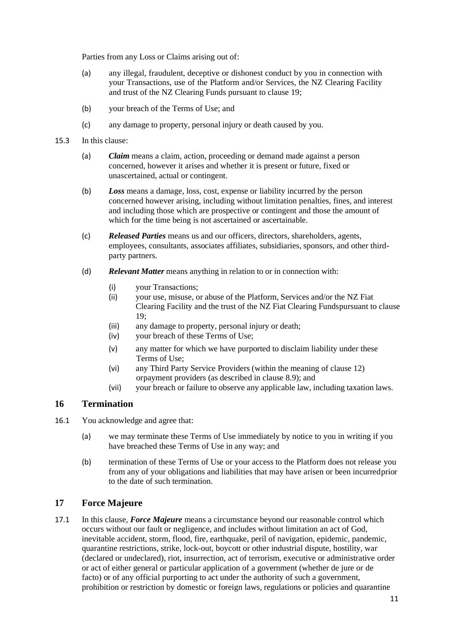Parties from any Loss or Claims arising out of:

- (a) any illegal, fraudulent, deceptive or dishonest conduct by you in connection with your Transactions, use of the Platform and/or Services, the NZ Clearing Facility and trust of the NZ Clearing Funds pursuant to clause 19;
- (b) your breach of the Terms of Use; and
- (c) any damage to property, personal injury or death caused by you.
- 15.3 In this clause:
	- (a) *Claim* means a claim, action, proceeding or demand made against a person concerned, however it arises and whether it is present or future, fixed or unascertained, actual or contingent.
	- (b) *Loss* means a damage, loss, cost, expense or liability incurred by the person concerned however arising, including without limitation penalties, fines, and interest and including those which are prospective or contingent and those the amount of which for the time being is not ascertained or ascertainable.
	- (c) *Released Parties* means us and our officers, directors, shareholders, agents, employees, consultants, associates affiliates, subsidiaries, sponsors, and other thirdparty partners.
	- (d) *Relevant Matter* means anything in relation to or in connection with:
		- (i) your Transactions;
		- (ii) your use, misuse, or abuse of the Platform, Services and/or the NZ Fiat Clearing Facility and the trust of the NZ Fiat Clearing Fundspursuant to clause 19;
		- (iii) any damage to property, personal injury or death;
		- (iv) your breach of these Terms of Use;
		- (v) any matter for which we have purported to disclaim liability under these Terms of Use;
		- (vi) any Third Party Service Providers (within the meaning of clause 12) orpayment providers (as described in clause 8.9); and
		- (vii) your breach or failure to observe any applicable law, including taxation laws.

# **16 Termination**

- 16.1 You acknowledge and agree that:
	- (a) we may terminate these Terms of Use immediately by notice to you in writing if you have breached these Terms of Use in any way; and
	- (b) termination of these Terms of Use or your access to the Platform does not release you from any of your obligations and liabilities that may have arisen or been incurredprior to the date of such termination.

# **17 Force Majeure**

17.1 In this clause, *Force Majeure* means a circumstance beyond our reasonable control which occurs without our fault or negligence, and includes without limitation an act of God, inevitable accident, storm, flood, fire, earthquake, peril of navigation, epidemic, pandemic, quarantine restrictions, strike, lock-out, boycott or other industrial dispute, hostility, war (declared or undeclared), riot, insurrection, act of terrorism, executive or administrative order or act of either general or particular application of a government (whether de jure or de facto) or of any official purporting to act under the authority of such a government, prohibition or restriction by domestic or foreign laws, regulations or policies and quarantine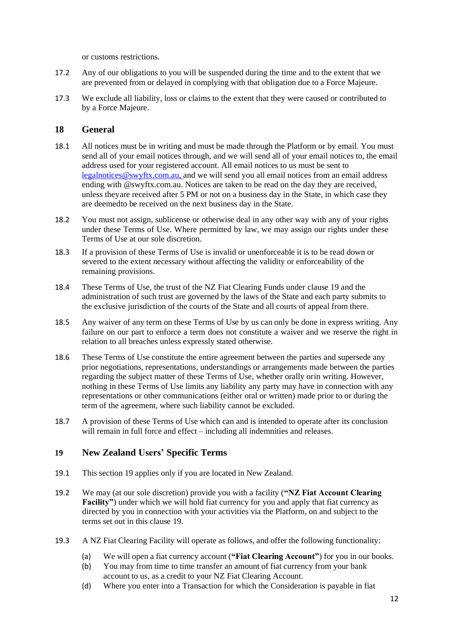or customs restrictions.

- 17.2 Any of our obligations to you will be suspended during the time and to the extent that we are prevented from or delayed in complying with that obligation due to a Force Majeure.
- 17.3 We exclude all liability, loss or claims to the extent that they were caused or contributed to by a Force Majeure.

# **18 General**

- 18.1 All notices must be in writing and must be made through the Platform or by email. You must send all of your email notices through, and we will send all of your email notices to, the email address used for your registered account. All email notices to us must be sent to [legalnotices@swyftx.com.au, a](mailto:legalnotices@swyftx.com.au,)nd we will send you all email notices from an email address ending with @swyftx.com.au. Notices are taken to be read on the day they are received, unless theyare received after 5 PM or not on a business day in the State, in which case they are deemedto be received on the next business day in the State.
- 18.2 You must not assign, sublicense or otherwise deal in any other way with any of your rights under these Terms of Use. Where permitted by law, we may assign our rights under these Terms of Use at our sole discretion.
- 18.3 If a provision of these Terms of Use is invalid or unenforceable it is to be read down or severed to the extent necessary without affecting the validity or enforceability of the remaining provisions.
- 18.4 These Terms of Use, the trust of the NZ Fiat Clearing Funds under clause 19 and the administration of such trust are governed by the laws of the State and each party submits to the exclusive jurisdiction of the courts of the State and all courts of appeal from there.
- 18.5 Any waiver of any term on these Terms of Use by us can only be done in express writing. Any failure on our part to enforce a term does not constitute a waiver and we reserve the right in relation to all breaches unless expressly stated otherwise.
- 18.6 These Terms of Use constitute the entire agreement between the parties and supersede any prior negotiations, representations, understandings or arrangements made between the parties regarding the subject matter of these Terms of Use, whether orally orin writing. However, nothing in these Terms of Use limits any liability any party may have in connection with any representations or other communications (either oral or written) made prior to or during the term of the agreement, where such liability cannot be excluded.
- 18.7 A provision of these Terms of Use which can and is intended to operate after its conclusion will remain in full force and effect – including all indemnities and releases.

#### **19 New Zealand Users' Specific Terms**

- 19.1 This section 19 applies only if you are located in New Zealand.
- 19.2 We may (at our sole discretion) provide you with a facility (**"NZ Fiat Account Clearing Facility"**) under which we will hold fiat currency for you and apply that fiat currency as directed by you in connection with your activities via the Platform, on and subject to the terms set out in this clause 19.
- 19.3 A NZ Fiat Clearing Facility will operate as follows, and offer the following functionality:
	- (a) We will open a fiat currency account (**"Fiat Clearing Account"**) for you in our books.
	- (b) You may from time to time transfer an amount of fiat currency from your bank account to us, as a credit to your NZ Fiat Clearing Account.
	- (d) Where you enter into a Transaction for which the Consideration is payable in fiat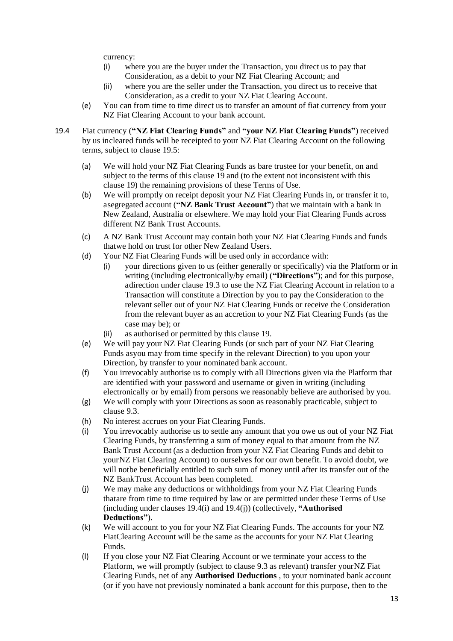currency:

- (i) where you are the buyer under the Transaction, you direct us to pay that Consideration, as a debit to your NZ Fiat Clearing Account; and
- (ii) where you are the seller under the Transaction, you direct us to receive that Consideration, as a credit to your NZ Fiat Clearing Account.
- (e) You can from time to time direct us to transfer an amount of fiat currency from your NZ Fiat Clearing Account to your bank account.
- 19.4 Fiat currency (**"NZ Fiat Clearing Funds"** and **"your NZ Fiat Clearing Funds"**) received by us incleared funds will be receipted to your NZ Fiat Clearing Account on the following terms, subject to clause 19.5:
	- (a) We will hold your NZ Fiat Clearing Funds as bare trustee for your benefit, on and subject to the terms of this clause 19 and (to the extent not inconsistent with this clause 19) the remaining provisions of these Terms of Use.
	- (b) We will promptly on receipt deposit your NZ Fiat Clearing Funds in, or transfer it to, asegregated account (**"NZ Bank Trust Account"**) that we maintain with a bank in New Zealand, Australia or elsewhere. We may hold your Fiat Clearing Funds across different NZ Bank Trust Accounts.
	- (c) A NZ Bank Trust Account may contain both your NZ Fiat Clearing Funds and funds thatwe hold on trust for other New Zealand Users.
	- (d) Your NZ Fiat Clearing Funds will be used only in accordance with:
		- (i) your directions given to us (either generally or specifically) via the Platform or in writing (including electronically/by email) (**"Directions"**); and for this purpose, adirection under clause 19.3 to use the NZ Fiat Clearing Account in relation to a Transaction will constitute a Direction by you to pay the Consideration to the relevant seller out of your NZ Fiat Clearing Funds or receive the Consideration from the relevant buyer as an accretion to your NZ Fiat Clearing Funds (as the case may be); or
		- (ii) as authorised or permitted by this clause 19.
	- (e) We will pay your NZ Fiat Clearing Funds (or such part of your NZ Fiat Clearing Funds asyou may from time specify in the relevant Direction) to you upon your Direction, by transfer to your nominated bank account.
	- (f) You irrevocably authorise us to comply with all Directions given via the Platform that are identified with your password and username or given in writing (including electronically or by email) from persons we reasonably believe are authorised by you.
	- (g) We will comply with your Directions as soon as reasonably practicable, subject to clause 9.3.
	- (h) No interest accrues on your Fiat Clearing Funds.
	- (i) You irrevocably authorise us to settle any amount that you owe us out of your NZ Fiat Clearing Funds, by transferring a sum of money equal to that amount from the NZ Bank Trust Account (as a deduction from your NZ Fiat Clearing Funds and debit to yourNZ Fiat Clearing Account) to ourselves for our own benefit. To avoid doubt, we will notbe beneficially entitled to such sum of money until after its transfer out of the NZ BankTrust Account has been completed.
	- (j) We may make any deductions or withholdings from your NZ Fiat Clearing Funds thatare from time to time required by law or are permitted under these Terms of Use (including under clauses 19.4(i) and 19.4(j)) (collectively, **"Authorised Deductions"**).
	- (k) We will account to you for your NZ Fiat Clearing Funds. The accounts for your NZ FiatClearing Account will be the same as the accounts for your NZ Fiat Clearing Funds.
	- (l) If you close your NZ Fiat Clearing Account or we terminate your access to the Platform, we will promptly (subject to clause 9.3 as relevant) transfer yourNZ Fiat Clearing Funds, net of any **Authorised Deductions** , to your nominated bank account (or if you have not previously nominated a bank account for this purpose, then to the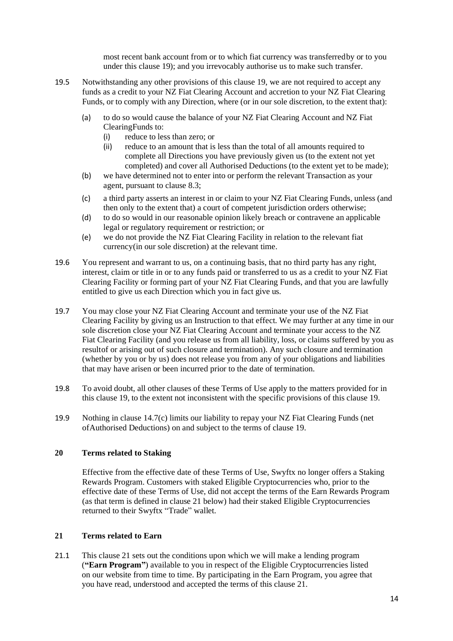most recent bank account from or to which fiat currency was transferredby or to you under this clause 19); and you irrevocably authorise us to make such transfer.

- 19.5 Notwithstanding any other provisions of this clause 19, we are not required to accept any funds as a credit to your NZ Fiat Clearing Account and accretion to your NZ Fiat Clearing Funds, or to comply with any Direction, where (or in our sole discretion, to the extent that):
	- (a) to do so would cause the balance of your NZ Fiat Clearing Account and NZ Fiat ClearingFunds to:
		- (i) reduce to less than zero; or
		- (ii) reduce to an amount that is less than the total of all amounts required to complete all Directions you have previously given us (to the extent not yet completed) and cover all Authorised Deductions (to the extent yet to be made);
	- (b) we have determined not to enter into or perform the relevant Transaction as your agent, pursuant to clause 8.3;
	- (c) a third party asserts an interest in or claim to your NZ Fiat Clearing Funds, unless (and then only to the extent that) a court of competent jurisdiction orders otherwise;
	- (d) to do so would in our reasonable opinion likely breach or contravene an applicable legal or regulatory requirement or restriction; or
	- (e) we do not provide the NZ Fiat Clearing Facility in relation to the relevant fiat currency(in our sole discretion) at the relevant time.
- 19.6 You represent and warrant to us, on a continuing basis, that no third party has any right, interest, claim or title in or to any funds paid or transferred to us as a credit to your NZ Fiat Clearing Facility or forming part of your NZ Fiat Clearing Funds, and that you are lawfully entitled to give us each Direction which you in fact give us.
- 19.7 You may close your NZ Fiat Clearing Account and terminate your use of the NZ Fiat Clearing Facility by giving us an Instruction to that effect. We may further at any time in our sole discretion close your NZ Fiat Clearing Account and terminate your access to the NZ Fiat Clearing Facility (and you release us from all liability, loss, or claims suffered by you as resultof or arising out of such closure and termination). Any such closure and termination (whether by you or by us) does not release you from any of your obligations and liabilities that may have arisen or been incurred prior to the date of termination.
- 19.8 To avoid doubt, all other clauses of these Terms of Use apply to the matters provided for in this clause 19, to the extent not inconsistent with the specific provisions of this clause 19.
- 19.9 Nothing in clause 14.7(c) limits our liability to repay your NZ Fiat Clearing Funds (net ofAuthorised Deductions) on and subject to the terms of clause 19.

#### <span id="page-13-0"></span>**20 Terms related to Staking**

Effective from the effective date of these Terms of Use, Swyftx no longer offers a Staking Rewards Program. Customers with staked Eligible Cryptocurrencies who, prior to the effective date of these Terms of Use, did not accept the terms of the Earn Rewards Program (as that term is defined in clause 21 below) had their staked Eligible Cryptocurrencies returned to their Swyftx "Trade" wallet.

#### <span id="page-13-1"></span>**21 Terms related to Earn**

21.1 This clause [21](#page-13-1) sets out the conditions upon which we will make a lending program (**"Earn Program"**) available to you in respect of the Eligible Cryptocurrencies listed on our website from time to time. By participating in the Earn Program, you agree that you have read, understood and accepted the terms of this clause [21.](#page-13-1)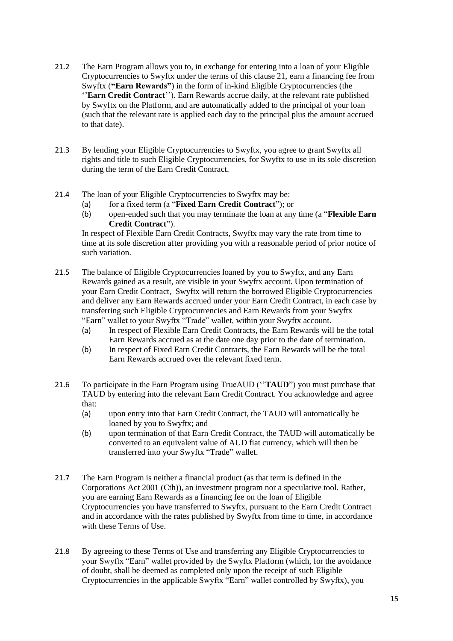- 21.2 The Earn Program allows you to, in exchange for entering into a loan of your Eligible Cryptocurrencies to Swyftx under the terms of this clause 21, earn a financing fee from Swyftx (**"Earn Rewards"**) in the form of in-kind Eligible Cryptocurrencies (the ''**Earn Credit Contract**''). Earn Rewards accrue daily, at the relevant rate published by Swyftx on the Platform, and are automatically added to the principal of your loan (such that the relevant rate is applied each day to the principal plus the amount accrued to that date).
- 21.3 By lending your Eligible Cryptocurrencies to Swyftx, you agree to grant Swyftx all rights and title to such Eligible Cryptocurrencies, for Swyftx to use in its sole discretion during the term of the Earn Credit Contract.
- 21.4 The loan of your Eligible Cryptocurrencies to Swyftx may be:
	- (a) for a fixed term (a "**Fixed Earn Credit Contract**"); or
	- (b) open-ended such that you may terminate the loan at any time (a "**Flexible Earn Credit Contract**").

In respect of Flexible Earn Credit Contracts, Swyftx may vary the rate from time to time at its sole discretion after providing you with a reasonable period of prior notice of such variation.

- 21.5 The balance of Eligible Cryptocurrencies loaned by you to Swyftx, and any Earn Rewards gained as a result, are visible in your Swyftx account. Upon termination of your Earn Credit Contract, Swyftx will return the borrowed Eligible Cryptocurrencies and deliver any Earn Rewards accrued under your Earn Credit Contract, in each case by transferring such Eligible Cryptocurrencies and Earn Rewards from your Swyftx "Earn" wallet to your Swyftx "Trade" wallet, within your Swyftx account.
	- (a) In respect of Flexible Earn Credit Contracts, the Earn Rewards will be the total Earn Rewards accrued as at the date one day prior to the date of termination.
	- (b) In respect of Fixed Earn Credit Contracts, the Earn Rewards will be the total Earn Rewards accrued over the relevant fixed term.
- 21.6 To participate in the Earn Program using TrueAUD (''**TAUD**") you must purchase that TAUD by entering into the relevant Earn Credit Contract. You acknowledge and agree that:
	- (a) upon entry into that Earn Credit Contract, the TAUD will automatically be loaned by you to Swyftx; and
	- (b) upon termination of that Earn Credit Contract, the TAUD will automatically be converted to an equivalent value of AUD fiat currency, which will then be transferred into your Swyftx "Trade" wallet.
- 21.7 The Earn Program is neither a financial product (as that term is defined in the Corporations Act 2001 (Cth)), an investment program nor a speculative tool. Rather, you are earning Earn Rewards as a financing fee on the loan of Eligible Cryptocurrencies you have transferred to Swyftx, pursuant to the Earn Credit Contract and in accordance with the rates published by Swyftx from time to time, in accordance with these Terms of Use.
- 21.8 By agreeing to these Terms of Use and transferring any Eligible Cryptocurrencies to your Swyftx "Earn" wallet provided by the Swyftx Platform (which, for the avoidance of doubt, shall be deemed as completed only upon the receipt of such Eligible Cryptocurrencies in the applicable Swyftx "Earn" wallet controlled by Swyftx), you